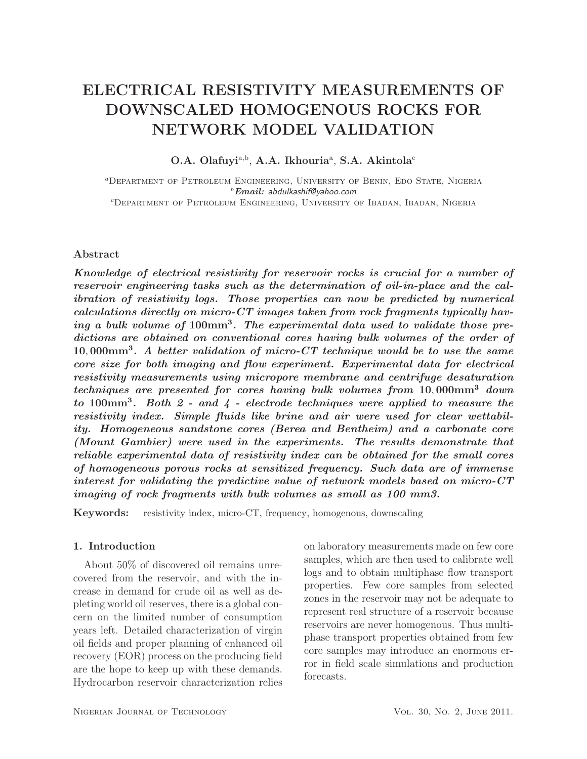# ELECTRICAL RESISTIVITY MEASUREMENTS OF DOWNSCALED HOMOGENOUS ROCKS FOR NETWORK MODEL VALIDATION

O.A. Olafuyi<sup>a,b</sup>, A.A. Ikhouria<sup>a</sup>, S.A. Akintola<sup>c</sup>

<sup>a</sup>Department of Petroleum Engineering, University of Benin, Edo State, Nigeria <sup>b</sup>*Email:* abdulkashif@yahoo.com <sup>c</sup>Department of Petroleum Engineering, University of Ibadan, Ibadan, Nigeria

## Abstract

*Knowledge of electrical resistivity for reservoir rocks is crucial for a number of reservoir engineering tasks such as the determination of oil-in-place and the calibration of resistivity logs. Those properties can now be predicted by numerical calculations directly on micro-CT images taken from rock fragments typically having a bulk volume of* 100mm<sup>3</sup> *. The experimental data used to validate those predictions are obtained on conventional cores having bulk volumes of the order of* 10, 000mm<sup>3</sup> *. A better validation of micro-CT technique would be to use the same core size for both imaging and flow experiment. Experimental data for electrical resistivity measurements using micropore membrane and centrifuge desaturation techniques are presented for cores having bulk volumes from* 10, 000mm<sup>3</sup> *down to* 100mm<sup>3</sup> *. Both 2 - and 4 - electrode techniques were applied to measure the resistivity index. Simple fluids like brine and air were used for clear wettability. Homogeneous sandstone cores (Berea and Bentheim) and a carbonate core (Mount Gambier) were used in the experiments. The results demonstrate that reliable experimental data of resistivity index can be obtained for the small cores of homogeneous porous rocks at sensitized frequency. Such data are of immense interest for validating the predictive value of network models based on micro-CT imaging of rock fragments with bulk volumes as small as 100 mm3.*

Keywords: resistivity index, micro-CT, frequency, homogenous, downscaling

# 1. Introduction

About 50% of discovered oil remains unrecovered from the reservoir, and with the increase in demand for crude oil as well as depleting world oil reserves, there is a global concern on the limited number of consumption years left. Detailed characterization of virgin oil fields and proper planning of enhanced oil recovery (EOR) process on the producing field are the hope to keep up with these demands. Hydrocarbon reservoir characterization relies

on laboratory measurements made on few core samples, which are then used to calibrate well logs and to obtain multiphase flow transport properties. Few core samples from selected zones in the reservoir may not be adequate to represent real structure of a reservoir because reservoirs are never homogenous. Thus multiphase transport properties obtained from few core samples may introduce an enormous error in field scale simulations and production forecasts.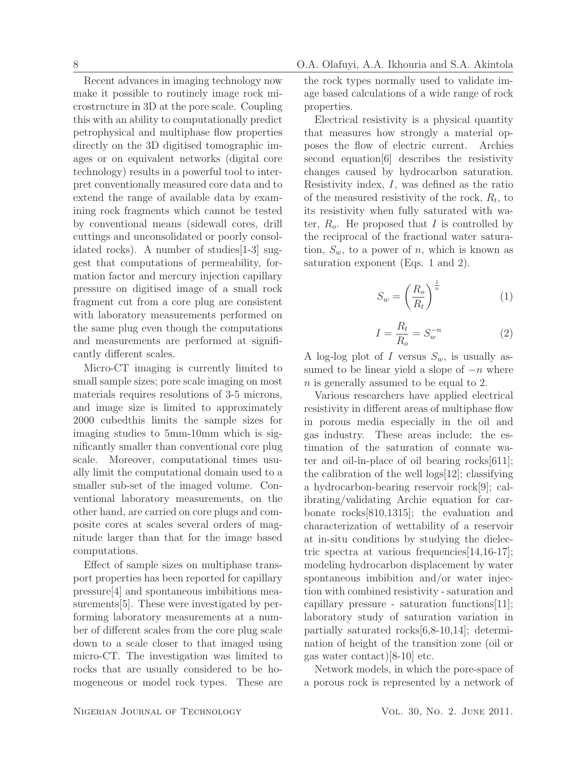Recent advances in imaging technology now make it possible to routinely image rock microstructure in 3D at the pore scale. Coupling this with an ability to computationally predict petrophysical and multiphase flow properties directly on the 3D digitised tomographic images or on equivalent networks (digital core technology) results in a powerful tool to interpret conventionally measured core data and to extend the range of available data by examining rock fragments which cannot be tested by conventional means (sidewall cores, drill cuttings and unconsolidated or poorly consolidated rocks). A number of studies[1-3] suggest that computations of permeability, formation factor and mercury injection capillary pressure on digitised image of a small rock fragment cut from a core plug are consistent with laboratory measurements performed on the same plug even though the computations and measurements are performed at significantly different scales.

Micro-CT imaging is currently limited to small sample sizes; pore scale imaging on most materials requires resolutions of 3-5 microns, and image size is limited to approximately 2000 cubedthis limits the sample sizes for imaging studies to 5mm-10mm which is significantly smaller than conventional core plug scale. Moreover, computational times usually limit the computational domain used to a smaller sub-set of the imaged volume. Conventional laboratory measurements, on the other hand, are carried on core plugs and composite cores at scales several orders of magnitude larger than that for the image based computations.

Effect of sample sizes on multiphase transport properties has been reported for capillary pressure[4] and spontaneous imbibitions measurements[5]. These were investigated by performing laboratory measurements at a number of different scales from the core plug scale down to a scale closer to that imaged using micro-CT. The investigation was limited to rocks that are usually considered to be homogeneous or model rock types. These are the rock types normally used to validate image based calculations of a wide range of rock properties.

Electrical resistivity is a physical quantity that measures how strongly a material opposes the flow of electric current. Archies second equation[6] describes the resistivity changes caused by hydrocarbon saturation. Resistivity index, I, was defined as the ratio of the measured resistivity of the rock,  $R_t$ , to its resistivity when fully saturated with water,  $R_o$ . He proposed that I is controlled by the reciprocal of the fractional water saturation,  $S_w$ , to a power of n, which is known as saturation exponent (Eqs. 1 and 2).

$$
S_w = \left(\frac{R_o}{R_t}\right)^{\frac{1}{n}}\tag{1}
$$

$$
I = \frac{R_t}{R_o} = S_w^{-n} \tag{2}
$$

A log-log plot of I versus  $S_w$ , is usually assumed to be linear yield a slope of  $-n$  where n is generally assumed to be equal to 2.

Various researchers have applied electrical resistivity in different areas of multiphase flow in porous media especially in the oil and gas industry. These areas include: the estimation of the saturation of connate water and oil-in-place of oil bearing rocks[611]; the calibration of the well logs[12]; classifying a hydrocarbon-bearing reservoir rock[9]; calibrating/validating Archie equation for carbonate rocks[810,1315]; the evaluation and characterization of wettability of a reservoir at in-situ conditions by studying the dielectric spectra at various frequencies[14,16-17]; modeling hydrocarbon displacement by water spontaneous imbibition and/or water injection with combined resistivity - saturation and capillary pressure - saturation functions  $|11|$ ; laboratory study of saturation variation in partially saturated rocks[6,8-10,14]; determination of height of the transition zone (oil or gas water contact)[8-10] etc.

Network models, in which the pore-space of a porous rock is represented by a network of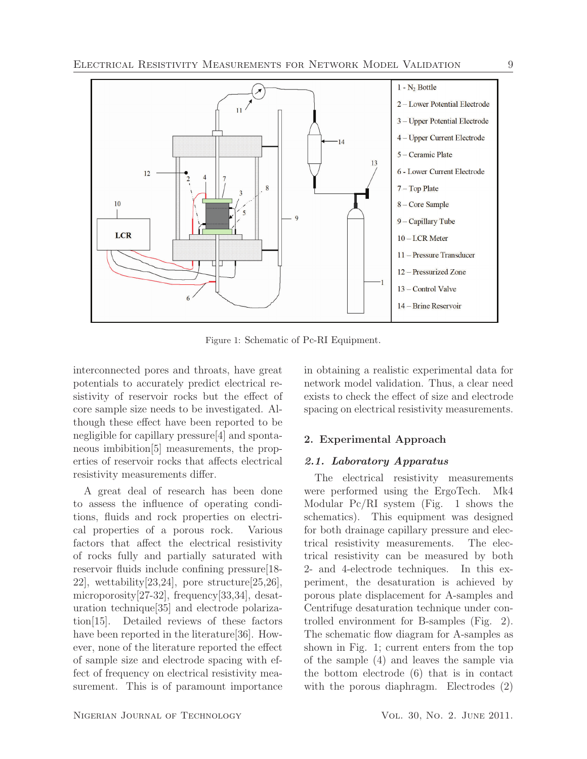

Figure 1: Schematic of Pc-RI Equipment.

interconnected pores and throats, have great potentials to accurately predict electrical resistivity of reservoir rocks but the effect of core sample size needs to be investigated. Although these effect have been reported to be negligible for capillary pressure[4] and spontaneous imbibition[5] measurements, the properties of reservoir rocks that affects electrical resistivity measurements differ.

A great deal of research has been done to assess the influence of operating conditions, fluids and rock properties on electrical properties of a porous rock. Various factors that affect the electrical resistivity 22], wettability[23,24], pore structure[25,26], microporosity[27-32], frequency[33,34], desaturation technique[35] and electrode polarization[15]. Detailed reviews of these factors have been reported in the literature[36]. However, none of the literature reported the effect of sample size and electrode spacing with effect of frequency on electrical resistivity measurement. This is of paramount importance in obtaining a realistic experimental data for network model validation. Thus, a clear need exists to check the effect of size and electrode spacing on electrical resistivity measurements.

## 2. Experimental Approach

#### *2.1. Laboratory Apparatus*

of rocks fully partially saturated with  $\Box$  resistivity can  $\Box$  resistivity can  $\Box$ reservoir fluidenighed confining pressure [18- **n=025cand 4-electrode in=015cmes**. In this ex-The electrical resistivity measurements were performed using the ErgoTech. Mk4 Modular  $Pc/N$  system (Fig. 1 shows the schematics). This equipment was designed **O**r both drainage capillary pressure and electrical resistivity measurements. The elecperiment, the desaturation is achieved by porous plate displacement for A-samples and Centrifuge desaturation technique under controlled environment for B-samples (Fig. 2). The schematic flow diagram for A-samples as shown in Fig. 1; current enters from the top of the sample (4) and leaves the sample via the bottom electrode (6) that is in contact with the porous diaphragm. Electrodes (2)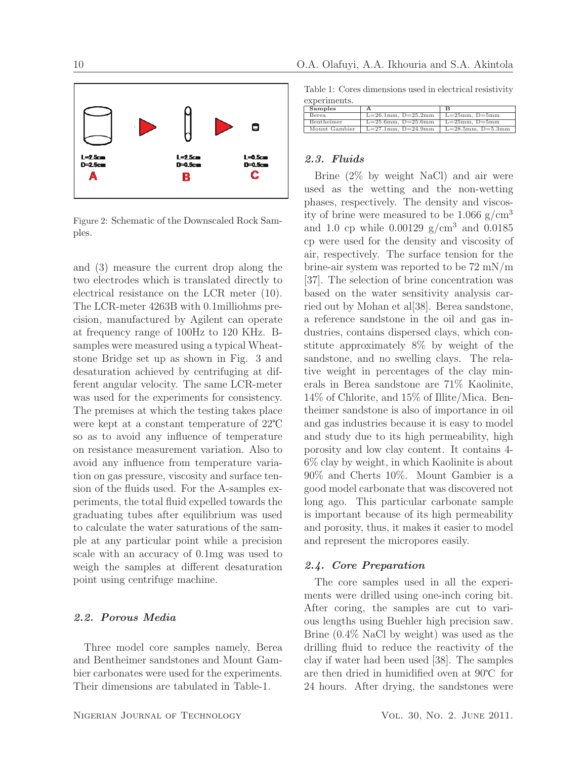





Figure 2: Schematic of the Downscaled Rock Samples.

and (3) measure the current drop along the two electrodes which is translated directly to electrical resistance on the LCR meter (10). The LCR-meter 4263B with 0.1milliohms precision, manufactured by Agilent can operate at frequency range of 100Hz to 120 KHz. Bsamples were measured using a typical Wheatstone Bridge set up as shown in Fig. 3 and desaturation achieved by centrifuging at different angular velocity. The same LCR-meter was used for the experiments for consistency. The premises at which the testing takes place were kept at a constant temperature of  $22^{\circ}$ C so as to avoid any influence of temperature on resistance measurement variation. Also to avoid any influence from temperature variation on gas pressure, viscosity and surface tension of the fluids used. For the A-samples experiments, the total fluid expelled towards the graduating tubes after equilibrium was used to calculate the water saturations of the sample at any particular point while a precision scale with an accuracy of 0.1mg was used to weigh the samples at different desaturation point using centrifuge machine.

### *2.2. Porous Media*

Three model core samples namely, Berea and Bentheimer sandstones and Mount Gambier carbonates were used for the experiments. Their dimensions are tabulated in Table-1.

## 10 O.A. Olafuyi, A.A. Ikhouria and S.A. Akintola

Table 1: Cores dimensions used in electrical resistivity experiments.

| Samples           |                          | в                       |
|-------------------|--------------------------|-------------------------|
| Berea             | $L=26.1$ mm, $D=25.2$ mm | $L=25$ mm, $D=5$ mm     |
| <b>Bentheimer</b> | $L=25.6$ mm. $D=25.6$ mm | $L=25$ mm. $D=5$ mm     |
| Mount Gambier     | $L=27.1$ mm. $D=24.9$ mm | $L=28.5$ mm, $D=5.3$ mm |

#### *2.3. Fluids*

Brine (2% by weight NaCl) and air were used as the wetting and the non-wetting phases, respectively. The density and viscosity of brine were measured to be  $1.066$  g/cm<sup>3</sup> and 1.0 cp while  $0.00129$  g/cm<sup>3</sup> and  $0.0185$ cp were used for the density and viscosity of air, respectively. The surface tension for the brine-air system was reported to be 72 mN/m [37]. The selection of brine concentration was based on the water sensitivity analysis carried out by Mohan et al[38]. Berea sandstone, a reference sandstone in the oil and gas industries, contains dispersed clays, which constitute approximately 8% by weight of the sandstone, and no swelling clays. The relative weight in percentages of the clay minerals in Berea sandstone are 71% Kaolinite, 14% of Chlorite, and 15% of Illite/Mica. Bentheimer sandstone is also of importance in oil and gas industries because it is easy to model and study due to its high permeability, high porosity and low clay content. It contains 4- 6% clay by weight, in which Kaolinite is about 90% and Cherts 10%. Mount Gambier is a good model carbonate that was discovered not long ago. This particular carbonate sample is important because of its high permeability and porosity, thus, it makes it easier to model and represent the micropores easily.

#### *2.4. Core Preparation*

The core samples used in all the experiments were drilled using one-inch coring bit. After coring, the samples are cut to various lengths using Buehler high precision saw. Brine (0.4% NaCl by weight) was used as the drilling fluid to reduce the reactivity of the clay if water had been used [38]. The samples are then dried in humidified oven at  $90^{\circ}$ C for 24 hours. After drying, the sandstones were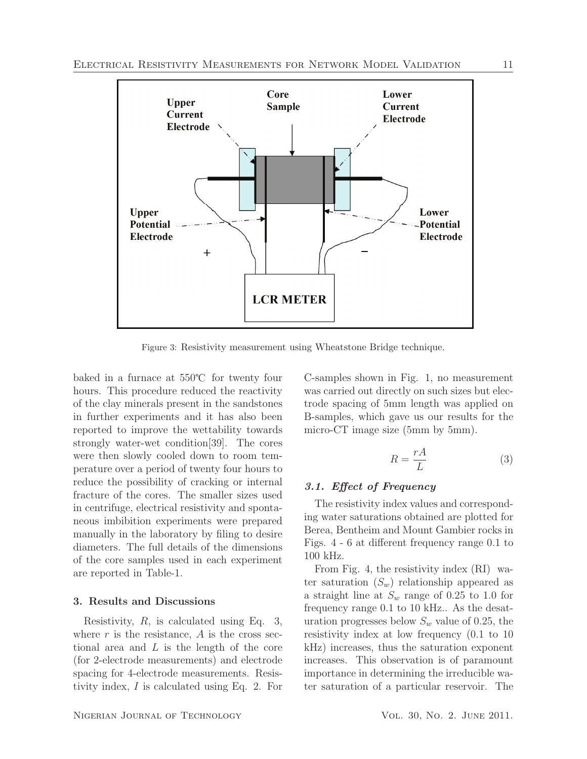

Figure 3: Resistivity measurement using Wheatstone Bridge technique.

baked in a furnace at  $550^{\circ}$ C for twenty four hours. This procedure reduced the reactivity of the clay minerals present in the sandstones in further experiments and it has also been reported to improve the wettability towards strongly water-wet condition[39]. The cores were then slowly cooled down to room temperature over a period of twenty four hours to reduce the possibility of cracking or internal fracture of the cores. The smaller sizes used in centrifuge, electrical resistivity and spontaneous imbibition experiments were prepared manually in the laboratory by filing to desire diameters. The full details of the dimensions of the core samples used in each experiment are reported in Table-1.

## 3. Results and Discussions

Resistivity,  $R$ , is calculated using Eq. 3, where  $r$  is the resistance,  $\vec{A}$  is the cross sectional area and  $L$  is the length of the core (for 2-electrode measurements) and electrode spacing for 4-electrode measurements. Resistivity index, I is calculated using Eq. 2. For

C-samples shown in Fig. 1, no measurement was carried out directly on such sizes but electrode spacing of 5mm length was applied on B-samples, which gave us our results for the micro-CT image size (5mm by 5mm).

$$
R = \frac{rA}{L} \tag{3}
$$

## *3.1. Effect of Frequency*

The resistivity index values and corresponding water saturations obtained are plotted for Berea, Bentheim and Mount Gambier rocks in Figs. 4 - 6 at different frequency range 0.1 to 100 kHz.

From Fig. 4, the resistivity index (RI) water saturation  $(S_w)$  relationship appeared as a straight line at  $S_w$  range of 0.25 to 1.0 for frequency range 0.1 to 10 kHz.. As the desaturation progresses below  $S_w$  value of 0.25, the resistivity index at low frequency (0.1 to 10 kHz) increases, thus the saturation exponent increases. This observation is of paramount importance in determining the irreducible water saturation of a particular reservoir. The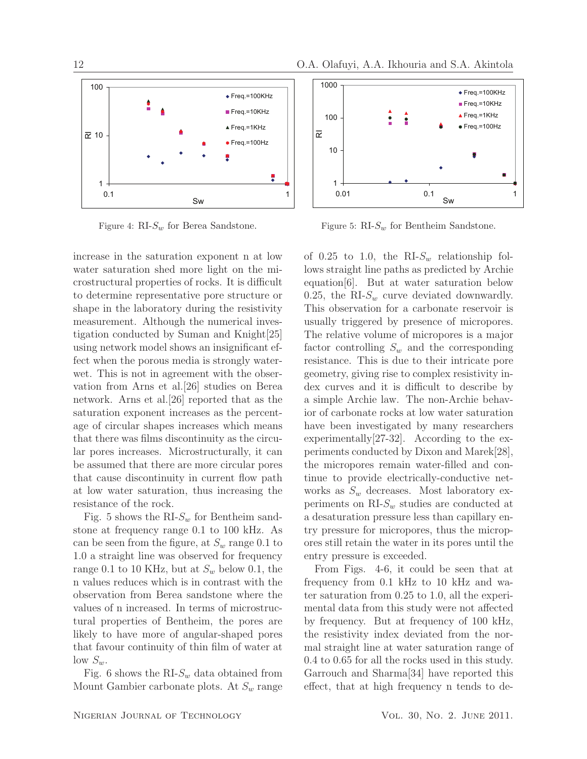



Figure 4:  $RI-S_w$  for Berea Sandstone.

increase in the saturation exponent n at low water saturation shed more light on the microstructural properties of rocks. It is difficult to determine representative pore structure or shape in the laboratory during the resistivity measurement. Although the numerical investigation conducted by Suman and Knight[25] using network model shows an insignificant effect when the porous media is strongly waterwet. This is not in agreement with the observation from Arns et al.[26] studies on Berea network. Arns et al.[26] reported that as the saturation exponent increases as the percentage of circular shapes increases which means that there was films discontinuity as the circular pores increases. Microstructurally, it can be assumed that there are more circular pores that cause discontinuity in current flow path at low water saturation, thus increasing the resistance of the rock.

Fig. 5 shows the RI- $S_w$  for Bentheim sandstone at frequency range 0.1 to 100 kHz. As can be seen from the figure, at  $S_w$  range 0.1 to 1.0 a straight line was observed for frequency range 0.1 to 10 KHz, but at  $S_w$  below 0.1, the n values reduces which is in contrast with the observation from Berea sandstone where the values of n increased. In terms of microstructural properties of Bentheim, the pores are likely to have more of angular-shaped pores that favour continuity of thin film of water at low  $S_w$ .

Fig. 6 shows the RI- $S_w$  data obtained from Mount Gambier carbonate plots. At  $S_w$  range





Figure 5:  $RI-S_w$  for Bentheim Sandstone.

of 0.25 to 1.0, the RI- $S_w$  relationship follows straight line paths as predicted by Archie equation[6]. But at water saturation below 0.25, the RI- $S_w$  curve deviated downwardly. This observation for a carbonate reservoir is usually triggered by presence of micropores. The relative volume of micropores is a major factor controlling  $S_w$  and the corresponding resistance. This is due to their intricate pore geometry, giving rise to complex resistivity index curves and it is difficult to describe by a simple Archie law. The non-Archie behavior of carbonate rocks at low water saturation have been investigated by many researchers experimentally[27-32]. According to the experiments conducted by Dixon and Marek[28], the micropores remain water-filled and continue to provide electrically-conductive networks as  $S_w$  decreases. Most laboratory experiments on  $RIS_w$  studies are conducted at a desaturation pressure less than capillary entry pressure for micropores, thus the micropores still retain the water in its pores until the entry pressure is exceeded.

From Figs. 4-6, it could be seen that at frequency from 0.1 kHz to 10 kHz and water saturation from 0.25 to 1.0, all the experimental data from this study were not affected by frequency. But at frequency of 100 kHz, the resistivity index deviated from the normal straight line at water saturation range of 0.4 to 0.65 for all the rocks used in this study. Garrouch and Sharma[34] have reported this effect, that at high frequency n tends to de-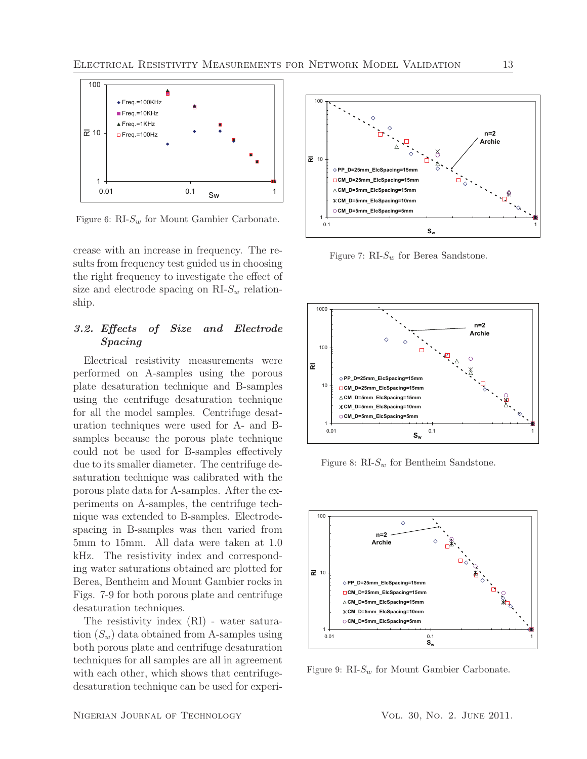

Figure 6:  $\text{RI-}S_w$  for Mount Gambier Carbonate.

crease with an increase in frequency. The results from frequency test guided us in choosing the right frequency to investigate the effect of size and electrode spacing on  $RIS_w$  relationship.

# *3.2. Effects of Size and Electrode Spacing*

Electrical resistivity measurements were performed on A-samples using the porous plate desaturation technique and B-samples using the centrifuge desaturation technique for all the model samples. Centrifuge desaturation techniques were used for A- and Bsamples because the porous plate technique could not be used for B-samples effectively due to its smaller diameter. The centrifuge desaturation technique was calibrated with the porous plate data for A-samples. After the experiments on A-samples, the centrifuge technique was extended to B-samples. Electrodespacing in B-samples was then varied from 5mm to 15mm. All data were taken at 1.0 kHz. The resistivity index and corresponding water saturations obtained are plotted for Berea, Bentheim and Mount Gambier rocks in Figs. 7-9 for both porous plate and centrifuge desaturation techniques.

The resistivity index (RI) - water saturation  $(S_w)$  data obtained from A-samples using both porous plate and centrifuge desaturation techniques for all samples are all in agreement with each other, which shows that centrifugedesaturation technique can be used for experi-



Figure 7:  $\text{RI-}S_w$  for Berea Sandstone.



Figure 8:  $RI-S_w$  for Bentheim Sandstone.



Figure 9:  $RI-S_w$  for Mount Gambier Carbonate.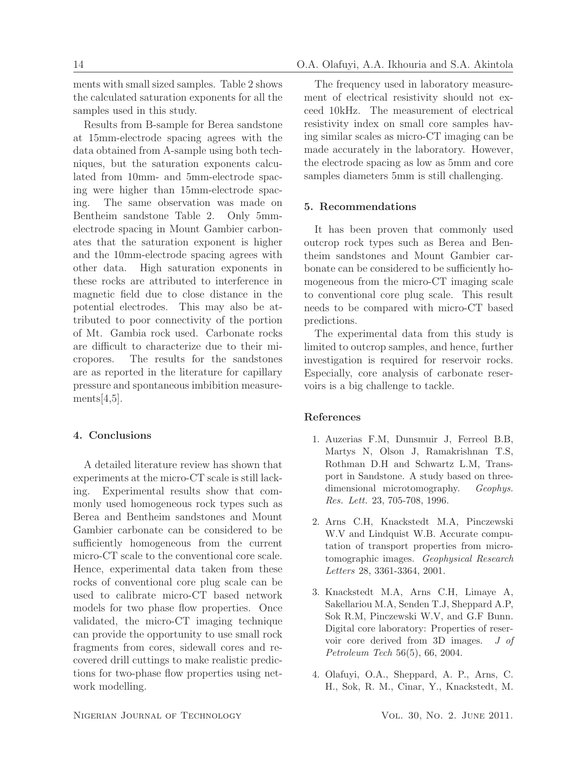ments with small sized samples. Table 2 shows the calculated saturation exponents for all the samples used in this study.

Results from B-sample for Berea sandstone at 15mm-electrode spacing agrees with the data obtained from A-sample using both techniques, but the saturation exponents calculated from 10mm- and 5mm-electrode spacing were higher than 15mm-electrode spacing. The same observation was made on Bentheim sandstone Table 2. Only 5mmelectrode spacing in Mount Gambier carbonates that the saturation exponent is higher and the 10mm-electrode spacing agrees with other data. High saturation exponents in these rocks are attributed to interference in magnetic field due to close distance in the potential electrodes. This may also be attributed to poor connectivity of the portion of Mt. Gambia rock used. Carbonate rocks are difficult to characterize due to their micropores. The results for the sandstones are as reported in the literature for capillary pressure and spontaneous imbibition measurements $[4,5]$ .

# 4. Conclusions

A detailed literature review has shown that experiments at the micro-CT scale is still lacking. Experimental results show that commonly used homogeneous rock types such as Berea and Bentheim sandstones and Mount Gambier carbonate can be considered to be sufficiently homogeneous from the current micro-CT scale to the conventional core scale. Hence, experimental data taken from these rocks of conventional core plug scale can be used to calibrate micro-CT based network models for two phase flow properties. Once validated, the micro-CT imaging technique can provide the opportunity to use small rock fragments from cores, sidewall cores and recovered drill cuttings to make realistic predictions for two-phase flow properties using network modelling.

The frequency used in laboratory measurement of electrical resistivity should not exceed 10kHz. The measurement of electrical resistivity index on small core samples having similar scales as micro-CT imaging can be made accurately in the laboratory. However, the electrode spacing as low as 5mm and core samples diameters 5mm is still challenging.

## 5. Recommendations

It has been proven that commonly used outcrop rock types such as Berea and Bentheim sandstones and Mount Gambier carbonate can be considered to be sufficiently homogeneous from the micro-CT imaging scale to conventional core plug scale. This result needs to be compared with micro-CT based predictions.

The experimental data from this study is limited to outcrop samples, and hence, further investigation is required for reservoir rocks. Especially, core analysis of carbonate reservoirs is a big challenge to tackle.

## References

- 1. Auzerias F.M, Dunsmuir J, Ferreol B.B, Martys N, Olson J, Ramakrishnan T.S, Rothman D.H and Schwartz L.M, Transport in Sandstone. A study based on threedimensional microtomography. *Geophys. Res. Lett.* 23, 705-708, 1996.
- 2. Arns C.H, Knackstedt M.A, Pinczewski W.V and Lindquist W.B. Accurate computation of transport properties from microtomographic images. *Geophysical Research Letters* 28, 3361-3364, 2001.
- 3. Knackstedt M.A, Arns C.H, Limaye A, Sakellariou M.A, Senden T.J, Sheppard A.P, Sok R.M, Pinczewski W.V, and G.F Bunn. Digital core laboratory: Properties of reservoir core derived from 3D images. *J of Petroleum Tech* 56(5), 66, 2004.
- 4. Olafuyi, O.A., Sheppard, A. P., Arns, C. H., Sok, R. M., Cinar, Y., Knackstedt, M.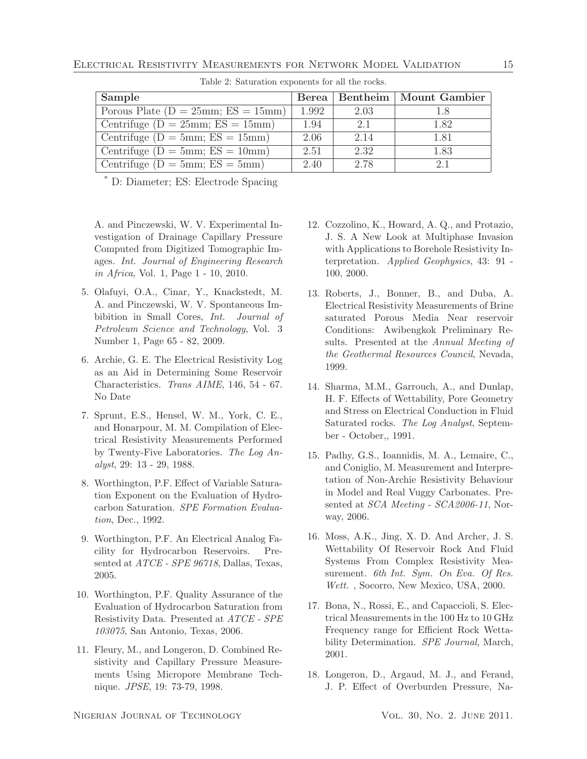| Sample                                    |       |      | Berea   Bentheim   Mount Gambier |
|-------------------------------------------|-------|------|----------------------------------|
| Porous Plate ( $D = 25$ mm; $ES = 15$ mm) | 1.992 | 2.03 | 1.8                              |
| Centrifuge ( $D = 25$ mm; $ES = 15$ mm)   | 1.94  | 2.1  | 1.82                             |
| Centrifuge ( $D = 5$ mm; $ES = 15$ mm)    | 2.06  | 2.14 | 1.81                             |
| Centrifuge ( $D = 5$ mm; $ES = 10$ mm)    | 2.51  | 2.32 | 1.83                             |
| Centrifuge ( $D = 5$ mm; $ES = 5$ mm)     | 2.40  | 2.78 | 21                               |

Table 2: Saturation exponents for all the rocks.

\* D: Diameter; ES: Electrode Spacing

A. and Pinczewski, W. V. Experimental Investigation of Drainage Capillary Pressure Computed from Digitized Tomographic Images. *Int. Journal of Engineering Research in Africa*, Vol. 1, Page 1 - 10, 2010.

- 5. Olafuyi, O.A., Cinar, Y., Knackstedt, M. A. and Pinczewski, W. V. Spontaneous Imbibition in Small Cores, *Int. Journal of Petroleum Science and Technology*, Vol. 3 Number 1, Page 65 - 82, 2009.
- 6. Archie, G. E. The Electrical Resistivity Log as an Aid in Determining Some Reservoir Characteristics. *Trans AIME*, 146, 54 - 67. No Date
- 7. Sprunt, E.S., Hensel, W. M., York, C. E., and Honarpour, M. M. Compilation of Electrical Resistivity Measurements Performed by Twenty-Five Laboratories. *The Log Analyst*, 29: 13 - 29, 1988.
- 8. Worthington, P.F. Effect of Variable Saturation Exponent on the Evaluation of Hydrocarbon Saturation. *SPE Formation Evaluation*, Dec., 1992.
- 9. Worthington, P.F. An Electrical Analog Facility for Hydrocarbon Reservoirs. Presented at *ATCE - SPE 96718*, Dallas, Texas, 2005.
- 10. Worthington, P.F. Quality Assurance of the Evaluation of Hydrocarbon Saturation from Resistivity Data. Presented at *ATCE - SPE 103075*, San Antonio, Texas, 2006.
- 11. Fleury, M., and Longeron, D. Combined Resistivity and Capillary Pressure Measurements Using Micropore Membrane Technique. *JPSE*, 19: 73-79, 1998.
- 12. Cozzolino, K., Howard, A. Q., and Protazio, J. S. A New Look at Multiphase Invasion with Applications to Borehole Resistivity Interpretation. *Applied Geophysics*, 43: 91 - 100, 2000.
- 13. Roberts, J., Bonner, B., and Duba, A. Electrical Resistivity Measurements of Brine saturated Porous Media Near reservoir Conditions: Awibengkok Preliminary Results. Presented at the *Annual Meeting of the Geothermal Resources Council*, Nevada, 1999.
- 14. Sharma, M.M., Garrouch, A., and Dunlap, H. F. Effects of Wettability, Pore Geometry and Stress on Electrical Conduction in Fluid Saturated rocks. *The Log Analyst*, September - October,, 1991.
- 15. Padhy, G.S., Ioannidis, M. A., Lemaire, C., and Coniglio, M. Measurement and Interpretation of Non-Archie Resistivity Behaviour in Model and Real Vuggy Carbonates. Presented at *SCA Meeting - SCA2006-11*, Norway, 2006.
- 16. Moss, A.K., Jing, X. D. And Archer, J. S. Wettability Of Reservoir Rock And Fluid Systems From Complex Resistivity Measurement. *6th Int. Sym. On Eva. Of Res. Wett.* , Socorro, New Mexico, USA, 2000.
- 17. Bona, N., Rossi, E., and Capaccioli, S. Electrical Measurements in the 100 Hz to 10 GHz Frequency range for Efficient Rock Wettability Determination. *SPE Journal*, March, 2001.
- 18. Longeron, D., Argaud, M. J., and Feraud, J. P. Effect of Overburden Pressure, Na-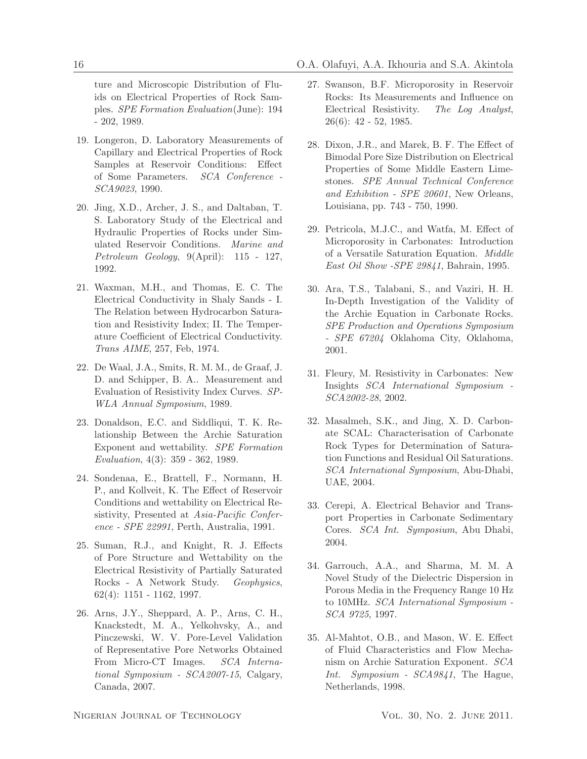ture and Microscopic Distribution of Fluids on Electrical Properties of Rock Samples. *SPE Formation Evaluation*(June): 194 - 202, 1989.

- 19. Longeron, D. Laboratory Measurements of Capillary and Electrical Properties of Rock Samples at Reservoir Conditions: Effect of Some Parameters. *SCA Conference - SCA9023*, 1990.
- 20. Jing, X.D., Archer, J. S., and Daltaban, T. S. Laboratory Study of the Electrical and Hydraulic Properties of Rocks under Simulated Reservoir Conditions. *Marine and Petroleum Geology*, 9(April): 115 - 127, 1992.
- 21. Waxman, M.H., and Thomas, E. C. The Electrical Conductivity in Shaly Sands - I. The Relation between Hydrocarbon Saturation and Resistivity Index; II. The Temperature Coefficient of Electrical Conductivity. *Trans AIME*, 257, Feb, 1974.
- 22. De Waal, J.A., Smits, R. M. M., de Graaf, J. D. and Schipper, B. A.. Measurement and Evaluation of Resistivity Index Curves. *SP-WLA Annual Symposium*, 1989.
- 23. Donaldson, E.C. and Siddliqui, T. K. Relationship Between the Archie Saturation Exponent and wettability. *SPE Formation Evaluation*, 4(3): 359 - 362, 1989.
- 24. Sondenaa, E., Brattell, F., Normann, H. P., and Kollveit, K. The Effect of Reservoir Conditions and wettability on Electrical Resistivity, Presented at *Asia-Pacific Conference - SPE 22991*, Perth, Australia, 1991.
- 25. Suman, R.J., and Knight, R. J. Effects of Pore Structure and Wettability on the Electrical Resistivity of Partially Saturated Rocks - A Network Study. *Geophysics*, 62(4): 1151 - 1162, 1997.
- 26. Arns, J.Y., Sheppard, A. P., Arns, C. H., Knackstedt, M. A., Yelkohvsky, A., and Pinczewski, W. V. Pore-Level Validation of Representative Pore Networks Obtained From Micro-CT Images. *SCA International Symposium - SCA2007-15*, Calgary, Canada, 2007.
- 27. Swanson, B.F. Microporosity in Reservoir Rocks: Its Measurements and Influence on Electrical Resistivity. *The Log Analyst*, 26(6): 42 - 52, 1985.
- 28. Dixon, J.R., and Marek, B. F. The Effect of Bimodal Pore Size Distribution on Electrical Properties of Some Middle Eastern Limestones. *SPE Annual Technical Conference and Exhibition - SPE 20601*, New Orleans, Louisiana, pp. 743 - 750, 1990.
- 29. Petricola, M.J.C., and Watfa, M. Effect of Microporosity in Carbonates: Introduction of a Versatile Saturation Equation. *Middle East Oil Show -SPE 29841*, Bahrain, 1995.
- 30. Ara, T.S., Talabani, S., and Vaziri, H. H. In-Depth Investigation of the Validity of the Archie Equation in Carbonate Rocks. *SPE Production and Operations Symposium - SPE 67204* Oklahoma City, Oklahoma, 2001.
- 31. Fleury, M. Resistivity in Carbonates: New Insights *SCA International Symposium - SCA2002-28*, 2002.
- 32. Masalmeh, S.K., and Jing, X. D. Carbonate SCAL: Characterisation of Carbonate Rock Types for Determination of Saturation Functions and Residual Oil Saturations. *SCA International Symposium*, Abu-Dhabi, UAE, 2004.
- 33. Cerepi, A. Electrical Behavior and Transport Properties in Carbonate Sedimentary Cores. *SCA Int. Symposium*, Abu Dhabi, 2004.
- 34. Garrouch, A.A., and Sharma, M. M. A Novel Study of the Dielectric Dispersion in Porous Media in the Frequency Range 10 Hz to 10MHz. *SCA International Symposium - SCA 9725*, 1997.
- 35. Al-Mahtot, O.B., and Mason, W. E. Effect of Fluid Characteristics and Flow Mechanism on Archie Saturation Exponent. *SCA Int. Symposium - SCA9841*, The Hague, Netherlands, 1998.